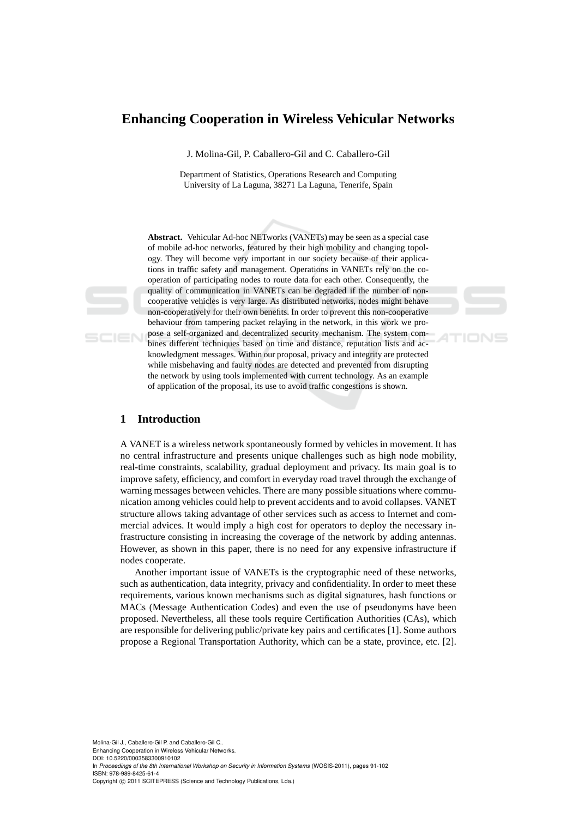# **Enhancing Cooperation in Wireless Vehicular Networks**

J. Molina-Gil, P. Caballero-Gil and C. Caballero-Gil

Department of Statistics, Operations Research and Computing University of La Laguna, 38271 La Laguna, Tenerife, Spain

**Abstract.** Vehicular Ad-hoc NETworks (VANETs) may be seen as a special case of mobile ad-hoc networks, featured by their high mobility and changing topology. They will become very important in our society because of their applications in traffic safety and management. Operations in VANETs rely on the cooperation of participating nodes to route data for each other. Consequently, the quality of communication in VANETs can be degraded if the number of noncooperative vehicles is very large. As distributed networks, nodes might behave non-cooperatively for their own benefits. In order to prevent this non-cooperative behaviour from tampering packet relaying in the network, in this work we propose a self-organized and decentralized security mechanism. The system combines different techniques based on time and distance, reputation lists and acknowledgment messages. Within our proposal, privacy and integrity are protected while misbehaving and faulty nodes are detected and prevented from disrupting the network by using tools implemented with current technology. As an example

of application of the proposal, its use to avoid traffic congestions is shown.

## **1 Introduction**

A VANET is a wireless network spontaneously formed by vehicles in movement. It has no central infrastructure and presents unique challenges such as high node mobility, real-time constraints, scalability, gradual deployment and privacy. Its main goal is to improve safety, efficiency, and comfort in everyday road travel through the exchange of warning messages between vehicles. There are many possible situations where communication among vehicles could help to prevent accidents and to avoid collapses. VANET structure allows taking advantage of other services such as access to Internet and commercial advices. It would imply a high cost for operators to deploy the necessary infrastructure consisting in increasing the coverage of the network by adding antennas. However, as shown in this paper, there is no need for any expensive infrastructure if nodes cooperate.

Another important issue of VANETs is the cryptographic need of these networks, such as authentication, data integrity, privacy and confidentiality. In order to meet these requirements, various known mechanisms such as digital signatures, hash functions or MACs (Message Authentication Codes) and even the use of pseudonyms have been proposed. Nevertheless, all these tools require Certification Authorities (CAs), which are responsible for delivering public/private key pairs and certificates [1]. Some authors propose a Regional Transportation Authority, which can be a state, province, etc. [2].

Molina-Gil J., Caballero-Gil P. and Caballero-Gil C.. Enhancing Cooperation in Wireless Vehicular Networks.

DOI: 10.5220/0003583300910102

In *Proceedings of the 8th International Workshop on Security in Information Systems* (WOSIS-2011), pages 91-102 ISBN: 978-989-8425-61-4

Copyright © 2011 SCITEPRESS (Science and Technology Publications, Lda.)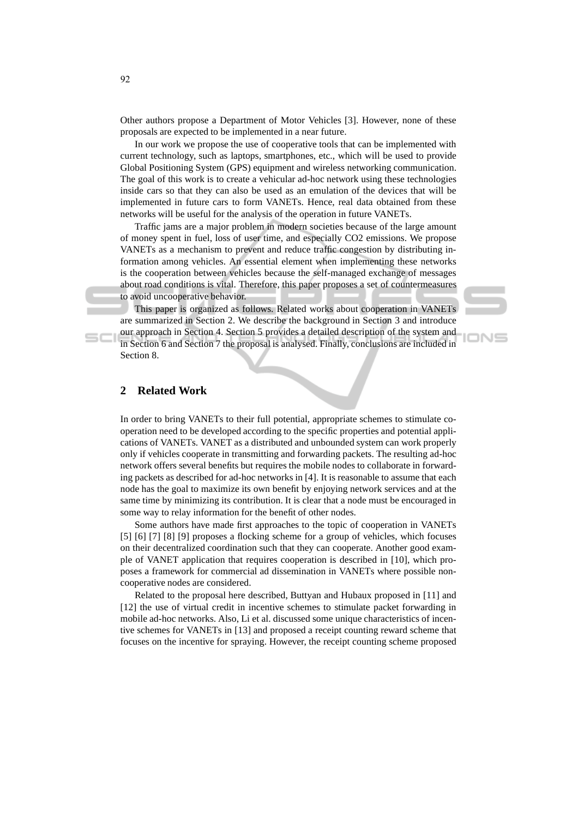Other authors propose a Department of Motor Vehicles [3]. However, none of these proposals are expected to be implemented in a near future.

In our work we propose the use of cooperative tools that can be implemented with current technology, such as laptops, smartphones, etc., which will be used to provide Global Positioning System (GPS) equipment and wireless networking communication. The goal of this work is to create a vehicular ad-hoc network using these technologies inside cars so that they can also be used as an emulation of the devices that will be implemented in future cars to form VANETs. Hence, real data obtained from these networks will be useful for the analysis of the operation in future VANETs.

Traffic jams are a major problem in modern societies because of the large amount of money spent in fuel, loss of user time, and especially CO2 emissions. We propose VANETs as a mechanism to prevent and reduce traffic congestion by distributing information among vehicles. An essential element when implementing these networks is the cooperation between vehicles because the self-managed exchange of messages about road conditions is vital. Therefore, this paper proposes a set of countermeasures to avoid uncooperative behavior.

This paper is organized as follows. Related works about cooperation in VANETs are summarized in Section 2. We describe the background in Section 3 and introduce our approach in Section 4. Section 5 provides a detailed description of the system and in Section 6 and Section 7 the proposal is analysed. Finally, conclusions are included in Section 8.

ION⊆

# **2 Related Work**

In order to bring VANETs to their full potential, appropriate schemes to stimulate cooperation need to be developed according to the specific properties and potential applications of VANETs. VANET as a distributed and unbounded system can work properly only if vehicles cooperate in transmitting and forwarding packets. The resulting ad-hoc network offers several benefits but requires the mobile nodes to collaborate in forwarding packets as described for ad-hoc networks in [4]. It is reasonable to assume that each node has the goal to maximize its own benefit by enjoying network services and at the same time by minimizing its contribution. It is clear that a node must be encouraged in some way to relay information for the benefit of other nodes.

Some authors have made first approaches to the topic of cooperation in VANETs [5] [6] [7] [8] [9] proposes a flocking scheme for a group of vehicles, which focuses on their decentralized coordination such that they can cooperate. Another good example of VANET application that requires cooperation is described in [10], which proposes a framework for commercial ad dissemination in VANETs where possible noncooperative nodes are considered.

Related to the proposal here described, Buttyan and Hubaux proposed in [11] and [12] the use of virtual credit in incentive schemes to stimulate packet forwarding in mobile ad-hoc networks. Also, Li et al. discussed some unique characteristics of incentive schemes for VANETs in [13] and proposed a receipt counting reward scheme that focuses on the incentive for spraying. However, the receipt counting scheme proposed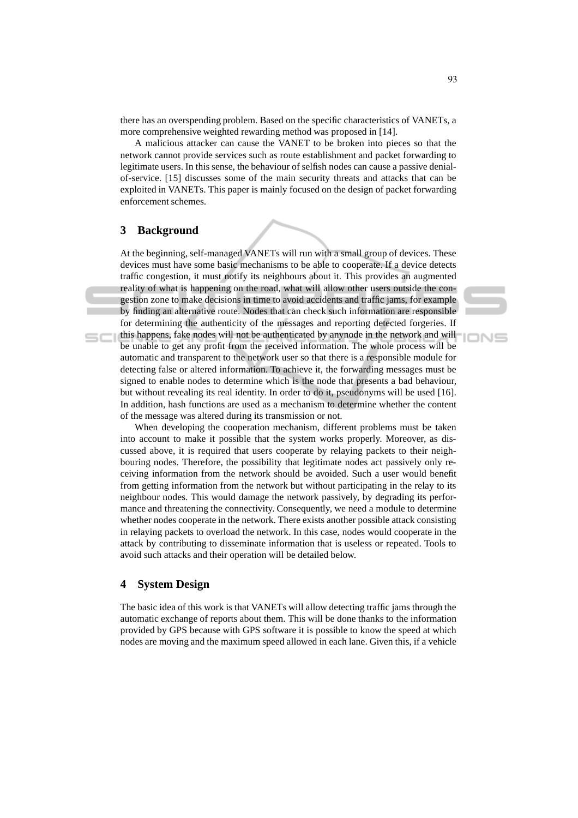there has an overspending problem. Based on the specific characteristics of VANETs, a more comprehensive weighted rewarding method was proposed in [14].

A malicious attacker can cause the VANET to be broken into pieces so that the network cannot provide services such as route establishment and packet forwarding to legitimate users. In this sense, the behaviour of selfish nodes can cause a passive denialof-service. [15] discusses some of the main security threats and attacks that can be exploited in VANETs. This paper is mainly focused on the design of packet forwarding enforcement schemes.

### **3 Background**

At the beginning, self-managed VANETs will run with a small group of devices. These devices must have some basic mechanisms to be able to cooperate. If a device detects traffic congestion, it must notify its neighbours about it. This provides an augmented reality of what is happening on the road, what will allow other users outside the congestion zone to make decisions in time to avoid accidents and traffic jams, for example by finding an alternative route. Nodes that can check such information are responsible for determining the authenticity of the messages and reporting detected forgeries. If this happens, fake nodes will not be authenticated by anynode in the network and will be unable to get any profit from the received information. The whole process will be automatic and transparent to the network user so that there is a responsible module for detecting false or altered information. To achieve it, the forwarding messages must be signed to enable nodes to determine which is the node that presents a bad behaviour, but without revealing its real identity. In order to do it, pseudonyms will be used [16]. In addition, hash functions are used as a mechanism to determine whether the content of the message was altered during its transmission or not.

When developing the cooperation mechanism, different problems must be taken into account to make it possible that the system works properly. Moreover, as discussed above, it is required that users cooperate by relaying packets to their neighbouring nodes. Therefore, the possibility that legitimate nodes act passively only receiving information from the network should be avoided. Such a user would benefit from getting information from the network but without participating in the relay to its neighbour nodes. This would damage the network passively, by degrading its performance and threatening the connectivity. Consequently, we need a module to determine whether nodes cooperate in the network. There exists another possible attack consisting in relaying packets to overload the network. In this case, nodes would cooperate in the attack by contributing to disseminate information that is useless or repeated. Tools to avoid such attacks and their operation will be detailed below.

## **4 System Design**

The basic idea of this work is that VANETs will allow detecting traffic jams through the automatic exchange of reports about them. This will be done thanks to the information provided by GPS because with GPS software it is possible to know the speed at which nodes are moving and the maximum speed allowed in each lane. Given this, if a vehicle

IONS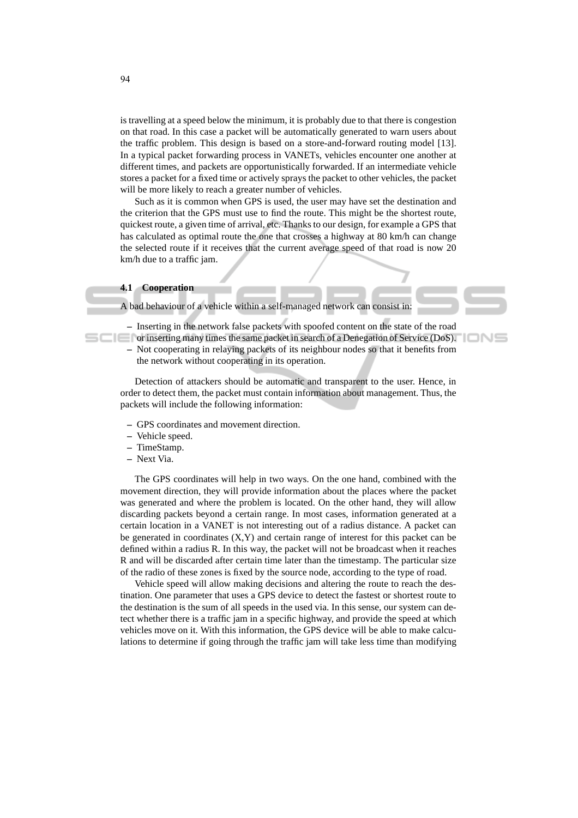is travelling at a speed below the minimum, it is probably due to that there is congestion on that road. In this case a packet will be automatically generated to warn users about the traffic problem. This design is based on a store-and-forward routing model [13]. In a typical packet forwarding process in VANETs, vehicles encounter one another at different times, and packets are opportunistically forwarded. If an intermediate vehicle stores a packet for a fixed time or actively sprays the packet to other vehicles, the packet will be more likely to reach a greater number of vehicles.

Such as it is common when GPS is used, the user may have set the destination and the criterion that the GPS must use to find the route. This might be the shortest route, quickest route, a given time of arrival, etc. Thanks to our design, for example a GPS that has calculated as optimal route the one that crosses a highway at 80 km/h can change the selected route if it receives that the current average speed of that road is now 20 km/h due to a traffic jam.

#### **4.1 Cooperation**

A bad behaviour of a vehicle within a self-managed network can consist in:

**–** Inserting in the network false packets with spoofed content on the state of the road

'IONS

or inserting many times the same packet in search of a Denegation of Service (DoS). **–** Not cooperating in relaying packets of its neighbour nodes so that it benefits from the network without cooperating in its operation.

Detection of attackers should be automatic and transparent to the user. Hence, in order to detect them, the packet must contain information about management. Thus, the packets will include the following information:

- **–** GPS coordinates and movement direction.
- **–** Vehicle speed.
- **–** TimeStamp.
- **–** Next Via.

The GPS coordinates will help in two ways. On the one hand, combined with the movement direction, they will provide information about the places where the packet was generated and where the problem is located. On the other hand, they will allow discarding packets beyond a certain range. In most cases, information generated at a certain location in a VANET is not interesting out of a radius distance. A packet can be generated in coordinates  $(X, Y)$  and certain range of interest for this packet can be defined within a radius R. In this way, the packet will not be broadcast when it reaches R and will be discarded after certain time later than the timestamp. The particular size of the radio of these zones is fixed by the source node, according to the type of road.

Vehicle speed will allow making decisions and altering the route to reach the destination. One parameter that uses a GPS device to detect the fastest or shortest route to the destination is the sum of all speeds in the used via. In this sense, our system can detect whether there is a traffic jam in a specific highway, and provide the speed at which vehicles move on it. With this information, the GPS device will be able to make calculations to determine if going through the traffic jam will take less time than modifying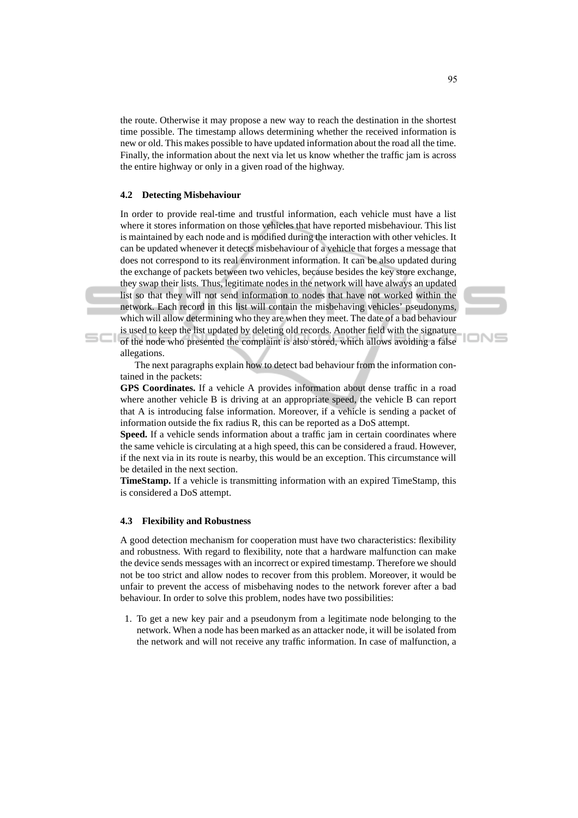the route. Otherwise it may propose a new way to reach the destination in the shortest time possible. The timestamp allows determining whether the received information is new or old. This makes possible to have updated information about the road all the time. Finally, the information about the next via let us know whether the traffic jam is across the entire highway or only in a given road of the highway.

### **4.2 Detecting Misbehaviour**

 $SCI$ 

In order to provide real-time and trustful information, each vehicle must have a list where it stores information on those vehicles that have reported misbehaviour. This list is maintained by each node and is modified during the interaction with other vehicles. It can be updated whenever it detects misbehaviour of a vehicle that forges a message that does not correspond to its real environment information. It can be also updated during the exchange of packets between two vehicles, because besides the key store exchange, they swap their lists. Thus, legitimate nodes in the network will have always an updated list so that they will not send information to nodes that have not worked within the network. Each record in this list will contain the misbehaving vehicles' pseudonyms, which will allow determining who they are when they meet. The date of a bad behaviour is used to keep the list updated by deleting old records. Another field with the signature

of the node who presented the complaint is also stored, which allows avoiding a false allegations.

The next paragraphs explain how to detect bad behaviour from the information contained in the packets:

**GPS Coordinates.** If a vehicle A provides information about dense traffic in a road where another vehicle B is driving at an appropriate speed, the vehicle B can report that A is introducing false information. Moreover, if a vehicle is sending a packet of information outside the fix radius R, this can be reported as a DoS attempt.

**Speed.** If a vehicle sends information about a traffic jam in certain coordinates where the same vehicle is circulating at a high speed, this can be considered a fraud. However, if the next via in its route is nearby, this would be an exception. This circumstance will be detailed in the next section.

**TimeStamp.** If a vehicle is transmitting information with an expired TimeStamp, this is considered a DoS attempt.

### **4.3 Flexibility and Robustness**

A good detection mechanism for cooperation must have two characteristics: flexibility and robustness. With regard to flexibility, note that a hardware malfunction can make the device sends messages with an incorrect or expired timestamp. Therefore we should not be too strict and allow nodes to recover from this problem. Moreover, it would be unfair to prevent the access of misbehaving nodes to the network forever after a bad behaviour. In order to solve this problem, nodes have two possibilities:

1. To get a new key pair and a pseudonym from a legitimate node belonging to the network. When a node has been marked as an attacker node, it will be isolated from the network and will not receive any traffic information. In case of malfunction, a

IONS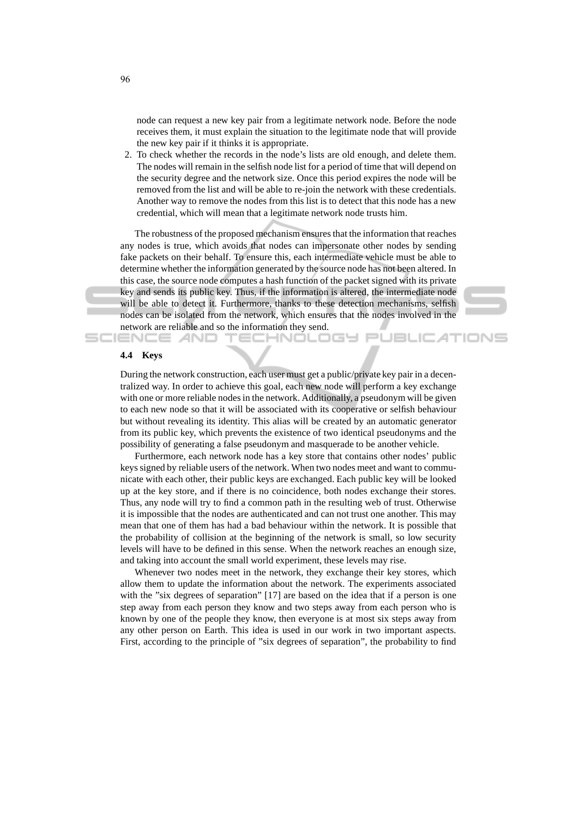node can request a new key pair from a legitimate network node. Before the node receives them, it must explain the situation to the legitimate node that will provide the new key pair if it thinks it is appropriate.

2. To check whether the records in the node's lists are old enough, and delete them. The nodes will remain in the selfish node list for a period of time that will depend on the security degree and the network size. Once this period expires the node will be removed from the list and will be able to re-join the network with these credentials. Another way to remove the nodes from this list is to detect that this node has a new credential, which will mean that a legitimate network node trusts him.

The robustness of the proposed mechanism ensures that the information that reaches any nodes is true, which avoids that nodes can impersonate other nodes by sending fake packets on their behalf. To ensure this, each intermediate vehicle must be able to determine whether the information generated by the source node has not been altered. In this case, the source node computes a hash function of the packet signed with its private key and sends its public key. Thus, if the information is altered, the intermediate node will be able to detect it. Furthermore, thanks to these detection mechanisms, selfish nodes can be isolated from the network, which ensures that the nodes involved in the network are reliable and so the information they send.



#### **4.4 Keys**

SCIENCE *A*ND

During the network construction, each user must get a public/private key pair in a decentralized way. In order to achieve this goal, each new node will perform a key exchange with one or more reliable nodes in the network. Additionally, a pseudonym will be given to each new node so that it will be associated with its cooperative or selfish behaviour but without revealing its identity. This alias will be created by an automatic generator from its public key, which prevents the existence of two identical pseudonyms and the possibility of generating a false pseudonym and masquerade to be another vehicle.

Furthermore, each network node has a key store that contains other nodes' public keys signed by reliable users of the network. When two nodes meet and want to communicate with each other, their public keys are exchanged. Each public key will be looked up at the key store, and if there is no coincidence, both nodes exchange their stores. Thus, any node will try to find a common path in the resulting web of trust. Otherwise it is impossible that the nodes are authenticated and can not trust one another. This may mean that one of them has had a bad behaviour within the network. It is possible that the probability of collision at the beginning of the network is small, so low security levels will have to be defined in this sense. When the network reaches an enough size, and taking into account the small world experiment, these levels may rise.

Whenever two nodes meet in the network, they exchange their key stores, which allow them to update the information about the network. The experiments associated with the "six degrees of separation" [17] are based on the idea that if a person is one step away from each person they know and two steps away from each person who is known by one of the people they know, then everyone is at most six steps away from any other person on Earth. This idea is used in our work in two important aspects. First, according to the principle of "six degrees of separation", the probability to find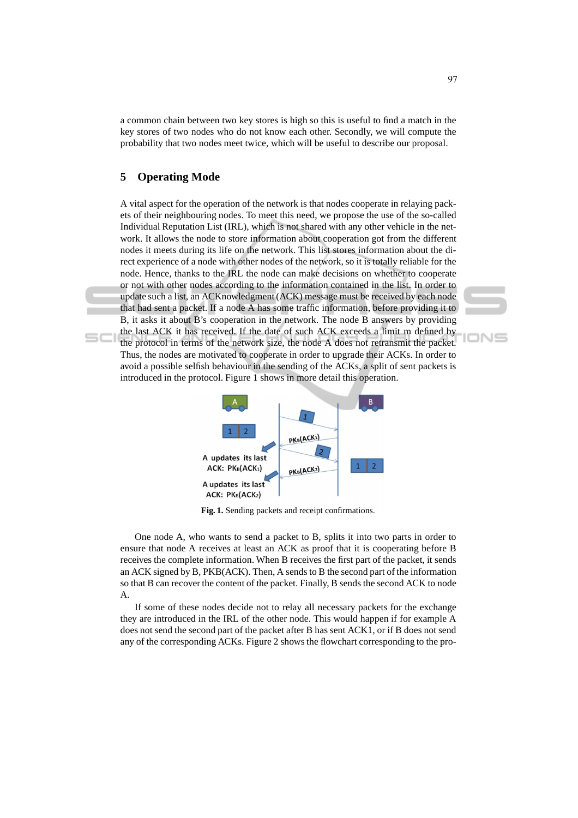a common chain between two key stores is high so this is useful to find a match in the key stores of two nodes who do not know each other. Secondly, we will compute the probability that two nodes meet twice, which will be useful to describe our proposal.

# **5 Operating Mode**

A vital aspect for the operation of the network is that nodes cooperate in relaying packets of their neighbouring nodes. To meet this need, we propose the use of the so-called Individual Reputation List (IRL), which is not shared with any other vehicle in the network. It allows the node to store information about cooperation got from the different nodes it meets during its life on the network. This list stores information about the direct experience of a node with other nodes of the network, so it is totally reliable for the node. Hence, thanks to the IRL the node can make decisions on whether to cooperate or not with other nodes according to the information contained in the list. In order to update such a list, an ACKnowledgment (ACK) message must be received by each node that had sent a packet. If a node A has some traffic information, before providing it to B, it asks it about B's cooperation in the network. The node B answers by providing the last ACK it has received. If the date of such ACK exceeds a limit m defined by the protocol in terms of the network size, the node A does not retransmit the packet. Thus, the nodes are motivated to cooperate in order to upgrade their ACKs. In order to avoid a possible selfish behaviour in the sending of the ACKs, a split of sent packets is introduced in the protocol. Figure 1 shows in more detail this operation.



**Fig. 1.** Sending packets and receipt confirmations.

One node A, who wants to send a packet to B, splits it into two parts in order to ensure that node A receives at least an ACK as proof that it is cooperating before B receives the complete information. When B receives the first part of the packet, it sends an ACK signed by B, PKB(ACK). Then, A sends to B the second part of the information so that B can recover the content of the packet. Finally, B sends the second ACK to node A.

If some of these nodes decide not to relay all necessary packets for the exchange they are introduced in the IRL of the other node. This would happen if for example A does not send the second part of the packet after B has sent ACK1, or if B does not send any of the corresponding ACKs. Figure 2 shows the flowchart corresponding to the proIN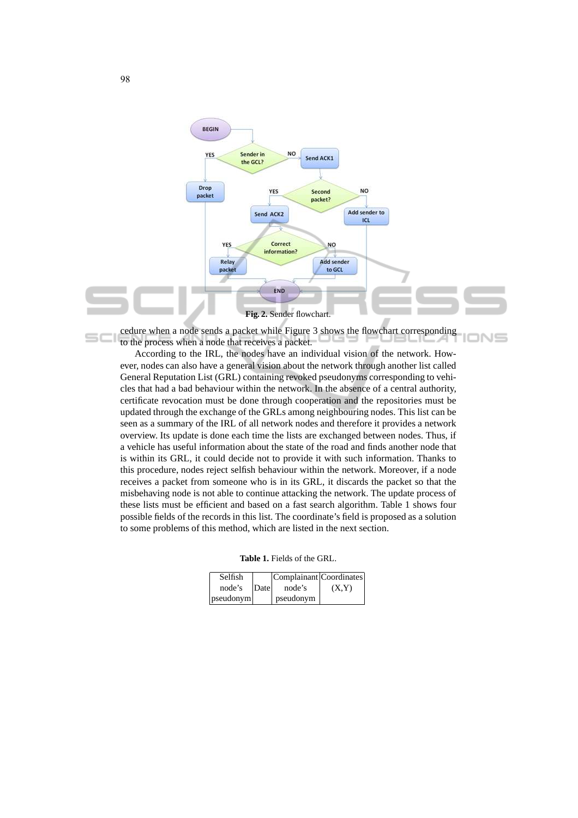

cedure when a node sends a packet while Figure 3 shows the flowchart corresponding to the process when a node that receives a packet.

According to the IRL, the nodes have an individual vision of the network. However, nodes can also have a general vision about the network through another list called General Reputation List (GRL) containing revoked pseudonyms corresponding to vehicles that had a bad behaviour within the network. In the absence of a central authority, certificate revocation must be done through cooperation and the repositories must be updated through the exchange of the GRLs among neighbouring nodes. This list can be seen as a summary of the IRL of all network nodes and therefore it provides a network overview. Its update is done each time the lists are exchanged between nodes. Thus, if a vehicle has useful information about the state of the road and finds another node that is within its GRL, it could decide not to provide it with such information. Thanks to this procedure, nodes reject selfish behaviour within the network. Moreover, if a node receives a packet from someone who is in its GRL, it discards the packet so that the misbehaving node is not able to continue attacking the network. The update process of these lists must be efficient and based on a fast search algorithm. Table 1 shows four possible fields of the records in this list. The coordinate's field is proposed as a solution to some problems of this method, which are listed in the next section.

| <b>Table 1.</b> Fields of the GRL. |
|------------------------------------|
|------------------------------------|

| Selfish   |      | Complainant Coordinates |       |
|-----------|------|-------------------------|-------|
| node's    | Date | node's                  | (X,Y) |
| pseudonym |      | <i>n</i> seudonym       |       |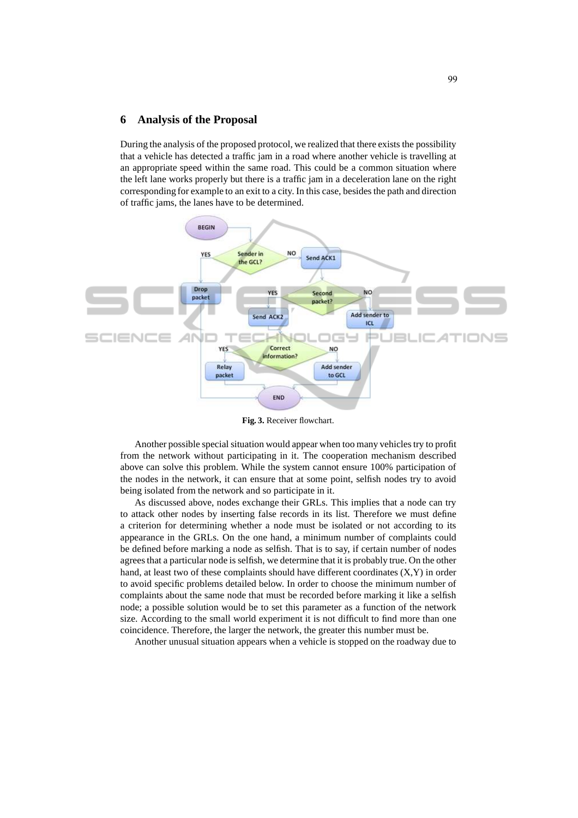### **6 Analysis of the Proposal**

During the analysis of the proposed protocol, we realized that there exists the possibility that a vehicle has detected a traffic jam in a road where another vehicle is travelling at an appropriate speed within the same road. This could be a common situation where the left lane works properly but there is a traffic jam in a deceleration lane on the right corresponding for example to an exit to a city. In this case, besides the path and direction of traffic jams, the lanes have to be determined.



**Fig. 3.** Receiver flowchart.

Another possible special situation would appear when too many vehicles try to profit from the network without participating in it. The cooperation mechanism described above can solve this problem. While the system cannot ensure 100% participation of the nodes in the network, it can ensure that at some point, selfish nodes try to avoid being isolated from the network and so participate in it.

As discussed above, nodes exchange their GRLs. This implies that a node can try to attack other nodes by inserting false records in its list. Therefore we must define a criterion for determining whether a node must be isolated or not according to its appearance in the GRLs. On the one hand, a minimum number of complaints could be defined before marking a node as selfish. That is to say, if certain number of nodes agrees that a particular node is selfish, we determine that it is probably true. On the other hand, at least two of these complaints should have different coordinates (X,Y) in order to avoid specific problems detailed below. In order to choose the minimum number of complaints about the same node that must be recorded before marking it like a selfish node; a possible solution would be to set this parameter as a function of the network size. According to the small world experiment it is not difficult to find more than one coincidence. Therefore, the larger the network, the greater this number must be.

Another unusual situation appears when a vehicle is stopped on the roadway due to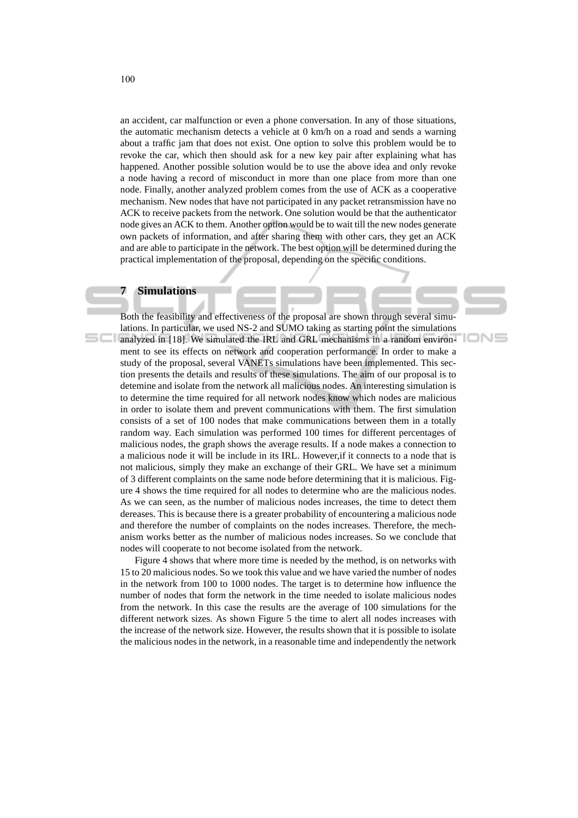an accident, car malfunction or even a phone conversation. In any of those situations, the automatic mechanism detects a vehicle at 0 km/h on a road and sends a warning about a traffic jam that does not exist. One option to solve this problem would be to revoke the car, which then should ask for a new key pair after explaining what has happened. Another possible solution would be to use the above idea and only revoke a node having a record of misconduct in more than one place from more than one node. Finally, another analyzed problem comes from the use of ACK as a cooperative mechanism. New nodes that have not participated in any packet retransmission have no ACK to receive packets from the network. One solution would be that the authenticator node gives an ACK to them. Another option would be to wait till the new nodes generate own packets of information, and after sharing them with other cars, they get an ACK and are able to participate in the network. The best option will be determined during the practical implementation of the proposal, depending on the specific conditions.

## **7 Simulations**

Both the feasibility and effectiveness of the proposal are shown through several simulations. In particular, we used NS-2 and SUMO taking as starting point the simulations **analyzed in [18]. We simulated the IRL and GRL mechanisms in a random environ**ment to see its effects on network and cooperation performance. In order to make a study of the proposal, several VANETs simulations have been implemented. This section presents the details and results of these simulations. The aim of our proposal is to detemine and isolate from the network all malicious nodes. An interesting simulation is to determine the time required for all network nodes know which nodes are malicious in order to isolate them and prevent communications with them. The first simulation consists of a set of 100 nodes that make communications between them in a totally random way. Each simulation was performed 100 times for different percentages of malicious nodes, the graph shows the average results. If a node makes a connection to a malicious node it will be include in its IRL. However,if it connects to a node that is not malicious, simply they make an exchange of their GRL. We have set a minimum of 3 different complaints on the same node before determining that it is malicious. Figure 4 shows the time required for all nodes to determine who are the malicious nodes. As we can seen, as the number of malicious nodes increases, the time to detect them dereases. This is because there is a greater probability of encountering a malicious node and therefore the number of complaints on the nodes increases. Therefore, the mechanism works better as the number of malicious nodes increases. So we conclude that nodes will cooperate to not become isolated from the network.

'IONS

Figure 4 shows that where more time is needed by the method, is on networks with 15 to 20 malicious nodes. So we took this value and we have varied the number of nodes in the network from 100 to 1000 nodes. The target is to determine how influence the number of nodes that form the network in the time needed to isolate malicious nodes from the network. In this case the results are the average of 100 simulations for the different network sizes. As shown Figure 5 the time to alert all nodes increases with the increase of the network size. However, the results shown that it is possible to isolate the malicious nodes in the network, in a reasonable time and independently the network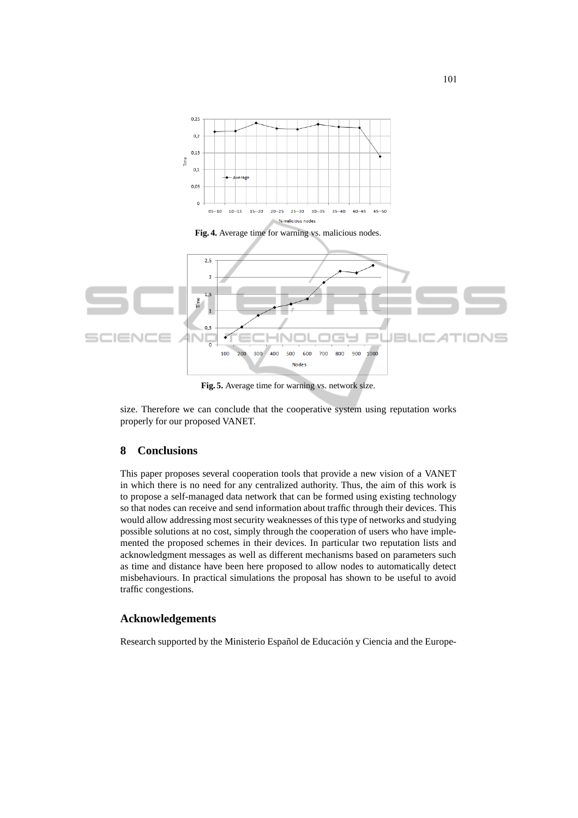

**Fig. 5.** Average time for warning vs. network size.

size. Therefore we can conclude that the cooperative system using reputation works properly for our proposed VANET.

## **8 Conclusions**

This paper proposes several cooperation tools that provide a new vision of a VANET in which there is no need for any centralized authority. Thus, the aim of this work is to propose a self-managed data network that can be formed using existing technology so that nodes can receive and send information about traffic through their devices. This would allow addressing most security weaknesses of this type of networks and studying possible solutions at no cost, simply through the cooperation of users who have implemented the proposed schemes in their devices. In particular two reputation lists and acknowledgment messages as well as different mechanisms based on parameters such as time and distance have been here proposed to allow nodes to automatically detect misbehaviours. In practical simulations the proposal has shown to be useful to avoid traffic congestions.

## **Acknowledgements**

Research supported by the Ministerio Español de Educación y Ciencia and the Europe-